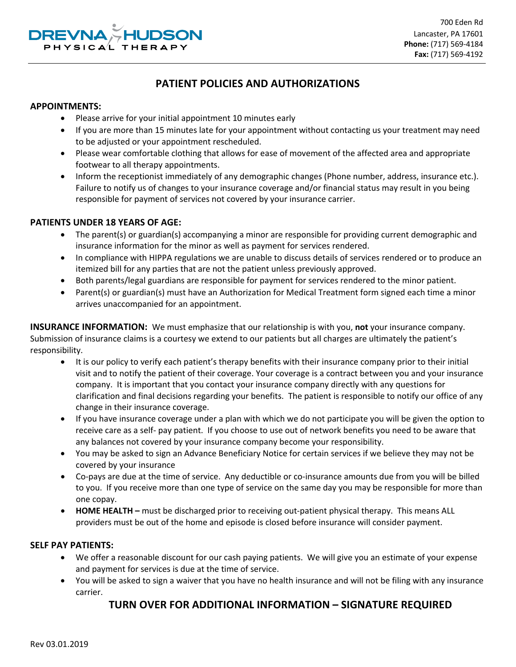

# **PATIENT POLICIES AND AUTHORIZATIONS**

#### **APPOINTMENTS:**

- Please arrive for your initial appointment 10 minutes early
- If you are more than 15 minutes late for your appointment without contacting us your treatment may need to be adjusted or your appointment rescheduled.
- Please wear comfortable clothing that allows for ease of movement of the affected area and appropriate footwear to all therapy appointments.
- Inform the receptionist immediately of any demographic changes (Phone number, address, insurance etc.). Failure to notify us of changes to your insurance coverage and/or financial status may result in you being responsible for payment of services not covered by your insurance carrier.

### **PATIENTS UNDER 18 YEARS OF AGE:**

- The parent(s) or guardian(s) accompanying a minor are responsible for providing current demographic and insurance information for the minor as well as payment for services rendered.
- In compliance with HIPPA regulations we are unable to discuss details of services rendered or to produce an itemized bill for any parties that are not the patient unless previously approved.
- Both parents/legal guardians are responsible for payment for services rendered to the minor patient.
- Parent(s) or guardian(s) must have an Authorization for Medical Treatment form signed each time a minor arrives unaccompanied for an appointment.

**INSURANCE INFORMATION:** We must emphasize that our relationship is with you, **not** your insurance company. Submission of insurance claims is a courtesy we extend to our patients but all charges are ultimately the patient's responsibility.

- It is our policy to verify each patient's therapy benefits with their insurance company prior to their initial visit and to notify the patient of their coverage. Your coverage is a contract between you and your insurance company. It is important that you contact your insurance company directly with any questions for clarification and final decisions regarding your benefits. The patient is responsible to notify our office of any change in their insurance coverage.
- If you have insurance coverage under a plan with which we do not participate you will be given the option to receive care as a self- pay patient. If you choose to use out of network benefits you need to be aware that any balances not covered by your insurance company become your responsibility.
- You may be asked to sign an Advance Beneficiary Notice for certain services if we believe they may not be covered by your insurance
- Co-pays are due at the time of service. Any deductible or co-insurance amounts due from you will be billed to you. If you receive more than one type of service on the same day you may be responsible for more than one copay.
- **HOME HEALTH –** must be discharged prior to receiving out-patient physical therapy. This means ALL providers must be out of the home and episode is closed before insurance will consider payment.

#### **SELF PAY PATIENTS:**

- We offer a reasonable discount for our cash paying patients. We will give you an estimate of your expense and payment for services is due at the time of service.
- You will be asked to sign a waiver that you have no health insurance and will not be filing with any insurance carrier.

# **TURN OVER FOR ADDITIONAL INFORMATION – SIGNATURE REQUIRED**